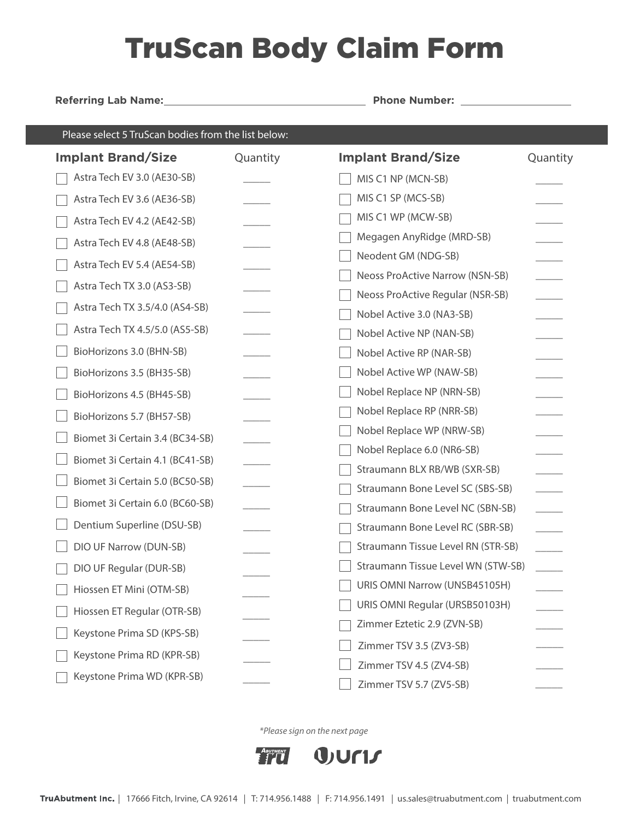## TruScan Body Claim Form

**Referring Lab Name: Phone Number:** 

| Please select 5 TruScan bodies from the list below: |          |                                        |          |  |
|-----------------------------------------------------|----------|----------------------------------------|----------|--|
| <b>Implant Brand/Size</b>                           | Quantity | <b>Implant Brand/Size</b>              | Quantity |  |
| Astra Tech EV 3.0 (AE30-SB)                         |          | MIS C1 NP (MCN-SB)                     |          |  |
| Astra Tech EV 3.6 (AE36-SB)                         |          | MIS C1 SP (MCS-SB)                     |          |  |
| Astra Tech EV 4.2 (AE42-SB)                         |          | MIS C1 WP (MCW-SB)                     |          |  |
| Astra Tech EV 4.8 (AE48-SB)                         |          | Megagen AnyRidge (MRD-SB)              |          |  |
| Astra Tech EV 5.4 (AE54-SB)                         |          | Neodent GM (NDG-SB)                    |          |  |
| Astra Tech TX 3.0 (AS3-SB)                          |          | <b>Neoss ProActive Narrow (NSN-SB)</b> |          |  |
| Astra Tech TX 3.5/4.0 (AS4-SB)                      |          | Neoss ProActive Regular (NSR-SB)       |          |  |
|                                                     |          | Nobel Active 3.0 (NA3-SB)              |          |  |
| Astra Tech TX 4.5/5.0 (AS5-SB)                      |          | Nobel Active NP (NAN-SB)               |          |  |
| BioHorizons 3.0 (BHN-SB)                            |          | Nobel Active RP (NAR-SB)               |          |  |
| BioHorizons 3.5 (BH35-SB)                           |          | Nobel Active WP (NAW-SB)               |          |  |
| BioHorizons 4.5 (BH45-SB)                           |          | Nobel Replace NP (NRN-SB)              |          |  |
| BioHorizons 5.7 (BH57-SB)                           |          | Nobel Replace RP (NRR-SB)              |          |  |
| Biomet 3i Certain 3.4 (BC34-SB)                     |          | Nobel Replace WP (NRW-SB)              |          |  |
| Biomet 3i Certain 4.1 (BC41-SB)                     |          | Nobel Replace 6.0 (NR6-SB)             |          |  |
| Biomet 3i Certain 5.0 (BC50-SB)                     |          | Straumann BLX RB/WB (SXR-SB)           |          |  |
| Biomet 3i Certain 6.0 (BC60-SB)                     |          | Straumann Bone Level SC (SBS-SB)       |          |  |
|                                                     |          | Straumann Bone Level NC (SBN-SB)       |          |  |
| Dentium Superline (DSU-SB)                          |          | Straumann Bone Level RC (SBR-SB)       |          |  |
| DIO UF Narrow (DUN-SB)                              |          | Straumann Tissue Level RN (STR-SB)     |          |  |
| DIO UF Regular (DUR-SB)                             |          | Straumann Tissue Level WN (STW-SB)     |          |  |
| Hiossen ET Mini (OTM-SB)                            |          | URIS OMNI Narrow (UNSB45105H)          |          |  |
| Hiossen ET Regular (OTR-SB)                         |          | URIS OMNI Regular (URSB50103H)         |          |  |
| Keystone Prima SD (KPS-SB)                          |          | Zimmer Eztetic 2.9 (ZVN-SB)            |          |  |
| Keystone Prima RD (KPR-SB)                          |          | Zimmer TSV 3.5 (ZV3-SB)                |          |  |
|                                                     |          | Zimmer TSV 4.5 (ZV4-SB)                |          |  |
| Keystone Prima WD (KPR-SB)                          |          | Zimmer TSV 5.7 (ZV5-SB)                |          |  |

\*Please sign on the next page